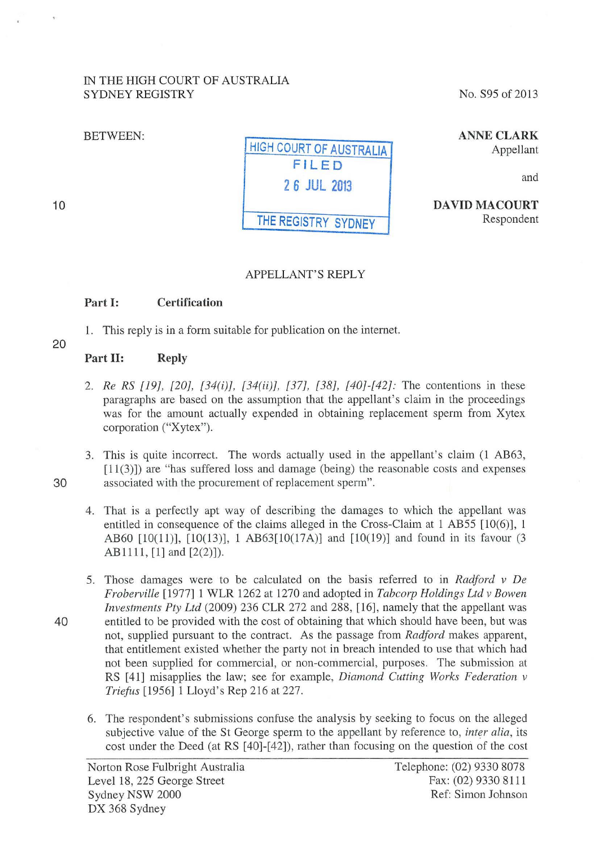#### IN THE HIGH COURT OF AUSTRALIA SYDNEY REGISTRY

#### BETWEEN:

10

| <b>HIGH COURT OF AUSTRALIA</b> |
|--------------------------------|
| FILED                          |
| 2 6 JUL 2013                   |
| THE REGISTRY SYDNEY            |

No. S95 of 2013

ANNE CLARK Appellant

and

DAVID MACOURT Respondent

## APPELLANT'S REPLY

## Part 1: Certification

1. This reply is in a form suitable for publication on the internet.

20

# Part II: Reply

- 2. *Re RS [ 19], [20], [34(i)], [34(ii)], [37], [38], [40]-[42]:* The contentions in these paragraphs are based on the assumption that the appellant's claim in the proceedings was for the amount actually expended in obtaining replacement sperm from Xytex corporation ("Xytex").
- 3. This is quite incorrect. The words actually used in the appellant's claim (1 AB63, [11(3)]) are "has suffered loss and damage (being) the reasonable costs and expenses 30 associated with the procurement of replacement sperm".
	- 4. That is a perfectly apt way of describing the damages to which the appellant was entitled in consequence of the claims alleged in the Cross-Claim at 1 AB55 [10(6)], 1 AB60  $[10(11)]$ ,  $[10(13)]$ , 1 AB63 $[10(17A)]$  and  $[10(19)]$  and found in its favour (3 AB1111, [1] and [2(2)]).
- 5. Those damages were to be calculated on the basis referred to in *Radford v De Froberville* [1977] 1 WLR 1262 at 1270 and adopted in *Tabcorp Holdings Ltd v Bowen Investments Pty Ltd* (2009) 236 CLR 272 and 288, [16], namely that the appellant was 40 entitled to be provided with the cost of obtaining that which should have been, but was not, supplied pursuant to the contract. As the passage from *Radford* makes apparent, that entitlement existed whether the party not in breach intended to use that which had not been supplied for commercial, or non-commercial, purposes. The submission at RS [41] misapplies the law; see for example, *Diamond Cutting Works Federation v Triefus* [1956] 1 Lloyd's Rep 216 at 227.
	- 6. The respondent's submissions confuse the analysis by seeking to focus on the alleged subjective value of the St George sperm to the appellant by reference to, *inter alia*, its cost under the Deed (at RS [40]-[42]), rather than focusing on the question of the cost

Telephone: (02) 9330 8078 Fax: (02) 9330 8111 Ref: Simon Johnson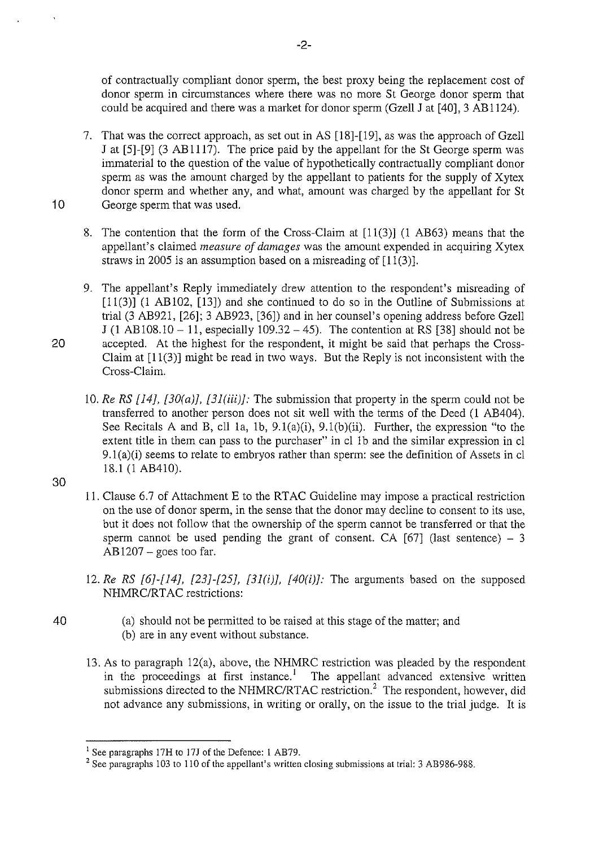of contractually compliant donor sperm, the best proxy being the replacement cost of donor sperm in circumstances where there was no more St George donor sperm that could be acquired and there was a market for donor sperm (Gzell J at [40], 3 AB 1124).

- 7. That was the correct approach, as set out in AS [18]-[19], as was the approach of Gzell J at [5]-[9] (3 AB1117). The price paid by the appellant for the St George sperm was immaterial to the question of the value of hypothetically contractually compliant donor sperm as was the amount charged by the appellant to patients for the supply of Xytex donor sperm and whether any, and what, amount was charged by the appellant for St 10 George sperm that was used.
	- 8. The contention that the form of the Cross-Claim at [11(3)] (l AB63) means that the appellant's claimed *measure of damages* was the amount expended in acquiring Xytex straws in 2005 is an assumption based on a misreading of  $[11(3)]$ .
- 9. The appellant's Reply immediately drew attention to the respondent's misreading of  $[11(3)]$  (1 AB102, [13]) and she continued to do so in the Outline of Submissions at trial (3 AB921, [26]; 3 AB923, [36]) and in her counsel's opening address before Gzell J (1 AB108.10 - 11, especially 109.32 - 45). The contention at RS [38] should not be 20 accepted. At the highest for the respondent, it might be said that perhaps the Cross-Claim at [11(3)] might be read in two ways. But the Reply is not inconsistent with the Cross-Claim.
	- 10. Re RS  $[14]$ ,  $[30(a)]$ ,  $[31(iii)]$ : The submission that property in the sperm could not be transferred to another person does not sit well with the terms of the Deed (1 AB404 ). See Recitals A and B, cll 1a, 1b, 9.1(a)(i), 9.1(b)(ii). Further, the expression "to the extent title in them can pass to the purchaser" in cl 1b and the similar expression in cl 9.l(a)(i) seems to relate to embryos rather than sperm: see the definition of Assets in cl 18.1 (l AB410).
- 30

40

- 11. Clause 6.7 of Attachment E to the RTAC Guideline may impose a practical restriction on the use of donor sperm, in the sense that the donor may decline to consent to its use, but it does not follow that the ownership of the sperm cannot be transferred or that the sperm cannot be used pending the grant of consent. CA  $[67]$  (last sentence) – 3  $AB1207$  – goes too far.
- 12. Re RS  $[6]$ - $[14]$ ,  $[23]$ - $[25]$ ,  $[31(i)]$ ,  $[40(i)]$ : The arguments based on the supposed NHMRC/RTAC restrictions:
	- (a) should not be permitted to be raised at this stage of the matter; and (b) are in any event without substance.
- 13. As to paragraph 12(a), above, the NHMRC restriction was pleaded by the respondent in the proceedings at first instance.<sup>1</sup> The appellant advanced extensive written submissions directed to the NHMRC/RTAC restriction.<sup>2</sup> The respondent, however, did not advance any submissions, in writing or orally, on the issue to the trial judge. It is

<sup>&</sup>lt;sup>1</sup> See paragraphs 17H to 17J of the Defence: 1 AB79.<br><sup>2</sup> See paragraphs 103 to 110 of the appellant's written closing submissions at trial: 3 AB986-988.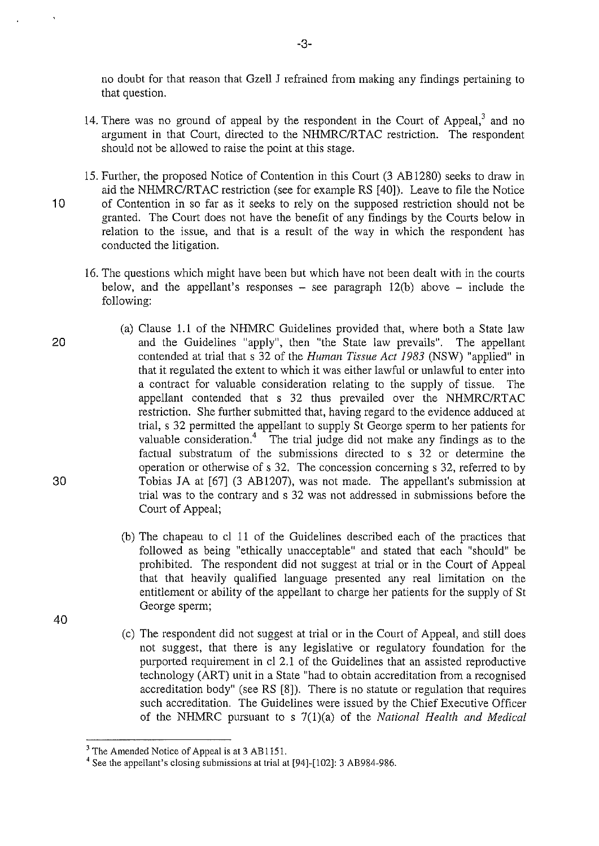no doubt for that reason that Gzell J refrained from making any findings pertaining to that question.

- 14. There was no ground of appeal by the respondent in the Court of Appeal, $3$  and no argument in that Court, directed to the NHMRC/RTAC restriction. The respondent should not be allowed to raise the point at this stage.
- 15. Further, the proposed Notice of Contention in this Court (3 AB 1280) seeks to draw in aid the NHMRC/RTAC restriction (see for example RS [40]). Leave to file the Notice 10 of Contention in so far as it seeks to rely on the supposed restriction should not be granted. The Court does not have the benefit of any findings by the Courts below in relation to the issue, and that is a result of the way in which the respondent has conducted the litigation.
	- 16. The questions which might have been but which have not been dealt with in the courts below, and the appellant's responses  $-$  see paragraph 12(b) above  $-$  include the following:
- 20 30 (a) Clause 1.1 of the NHMRC Guidelines provided that, where both a State law and the Guidelines "apply", then "the State law prevails". The appellant contended at trial that s 32 of the *Human Tissue Act 1983* (NSW) "applied" in that it regulated the extent to which it was either lawful or unlawful to enter into a contract for valuable consideration relating to the supply of tissue. The appellant contended that s 32 thus prevailed over the NHMRC/RTAC restriction. She further submitted that, having regard to the evidence adduced at trial, s 32 permitted the appellant to supply St George sperm to her patients for valuable consideration.<sup>4</sup> The trial judge did not make any findings as to the factual substratum of the submissions directed to s 32 or determine the operation or otherwise of s 32. The concession concerning s 32, referred to by Tobias JA at [67] (3 AB1207), was not made. The appellant's submission at trial was to the contrary and s 32 was not addressed in submissions before the Court of Appeal;
	- (b) The chapeau to ci 11 of the Guidelines described each of the practices that followed as being "ethically unacceptable" and stated that each "should" be prohibited. The respondent did not suggest at trial or in the Court of Appeal that that heavily qualified language presented any real limitation on the entitlement or ability of the appellant to charge her patients for the supply of St George sperm;
- 40
- (c) The respondent did not suggest at trial or in the Court of Appeal, and still does not suggest, that there is any legislative or regulatory foundation for the purported requirement in ci 2.1 of the Guidelines that an assisted reproductive technology (ART) unit in a State "had to obtain accreditation from a recognised accreditation body" (see RS [8]). There is no statute or regulation that requires such accreditation. The Guidelines were issued by the Chief Executive Officer of the NHMRC pursuant to s 7(l)(a) of the *National Health and Medical*

<sup>&</sup>lt;sup>3</sup> The Amended Notice of Appeal is at 3 AB1151.

<sup>4</sup> See the appellant's closing submissions at trial at [94]-[102]: 3 AB984-986.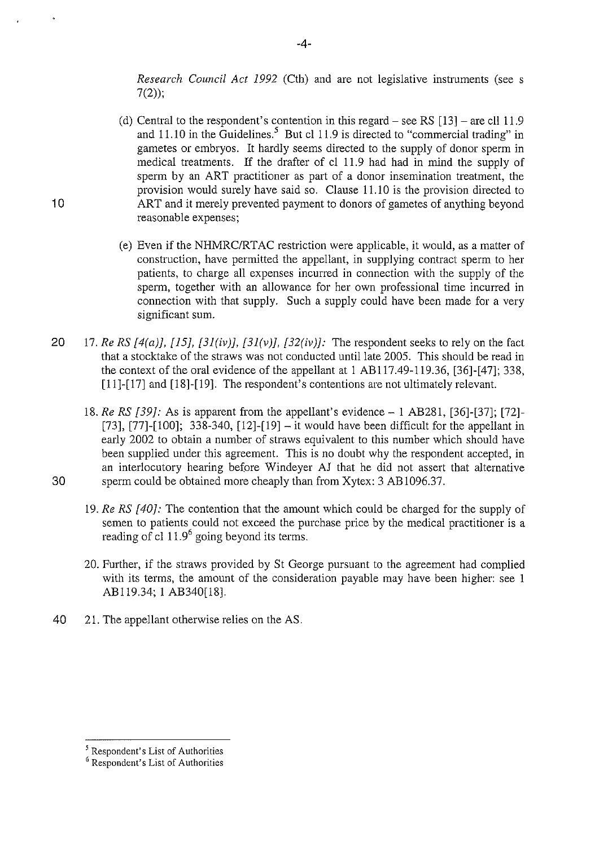Research Council Act 1992 (Cth) and are not legislative instruments (see s  $7(2)$ ;

- (d) Central to the respondent's contention in this regard see RS  $[13]$  are cll 11.9 and  $11.10$  in the Guidelines.<sup>5</sup> But cl 11.9 is directed to "commercial trading" in gametes or embryos. It hardly seems directed to the supply of donor sperm in medical treatments. If the drafter of cl 11.9 had had in mind the supply of sperm by an ART practitioner as part of a donor insemination treatment, the provision would surely have said so. Clause 11.10 is the provision directed to ART and it merely prevented payment to donors of gametes of anything beyond reasonable expenses;
- (e) Even if the NHMRC/RTAC restriction were applicable, it would, as a matter of construction, have permitted the appellant, in supplying contract sperm to her patients, to charge all expenses incurred in connection with the supply of the sperm, together with an allowance for her own professional time incurred in connection with that supply. Such a supply could have been made for a very significant sum.
- 20 17. Re RS  $[4(a)]$ ,  $[15]$ ,  $[31(v)]$ ,  $[31(v)]$ ,  $[32(iv)]$ : The respondent seeks to rely on the fact that a stocktake of the straws was not conducted until late 2005. This should be read in the context of the oral evidence of the appellant at I AB117.49-119.36, [36]-[47]; 338, [11]-[17] and [18]-[19]. The respondent's contentions are not ultimately relevant.
- 18. Re RS [39]: As is apparent from the appellant's evidence- 1 AB281, [36]-[37]; [72]-  $[73]$ ,  $[77]$ - $[100]$ ; 338-340,  $[12]$ - $[19]$  - it would have been difficult for the appellant in early 2002 to obtain a number of straws equivalent to this number which should have been supplied under this agreement. This is no doubt why the respondent accepted, in an interlocutory hearing before Windeyer AJ that he did not assert that alternative 30 sperm could be obtained more cheaply than from Xytex: 3 AB 1096.37.
	- 19. Re RS [40]: The contention that the amount which could be charged for the supply of semen to patients could not exceed the purchase price by the medical practitioner is a reading of cl  $11.9^6$  going beyond its terms.
	- 20. Further, if the straws provided by St George pursuant to the agreement had complied with its terms, the amount of the consideration payable may have been higher: see 1 AB119.34; 1 AB340[18].
- 40 21. The appellant otherwise relies on the AS.

10

<sup>5</sup> Respondent's List of Authorities

<sup>&</sup>lt;sup>6</sup> Respondent's List of Authorities